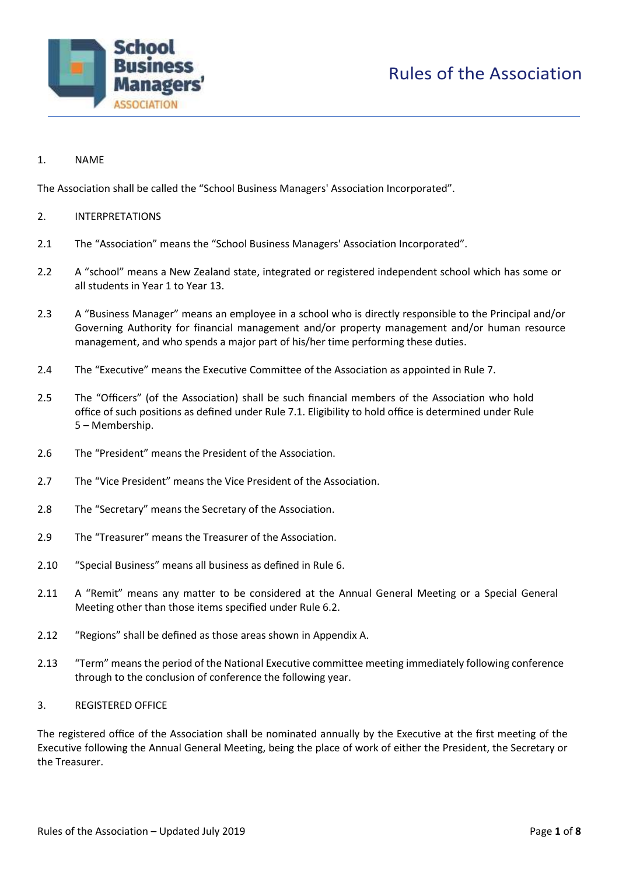

# Rules of the Association

# 1. NAME

The Association shall be called the "School Business Managers' Association Incorporated".

# 2. INTERPRETATIONS

- 2.1 The "Association" means the "School Business Managers' Association Incorporated".
- 2.2 A "school" means a New Zealand state, integrated or registered independent school which has some or all students in Year 1 to Year 13.
- 2.3 A "Business Manager" means an employee in a school who is directly responsible to the Principal and/or Governing Authority for financial management and/or property management and/or human resource management, and who spends a major part of his/her time performing these duties.
- 2.4 The "Executive" means the Executive Committee of the Association as appointed in Rule 7.
- 2.5 The "Officers" (of the Association) shall be such financial members of the Association who hold office of such positions as defined under Rule 7.1. Eligibility to hold office is determined under Rule 5 – Membership.
- 2.6 The "President" means the President of the Association.
- 2.7 The "Vice President" means the Vice President of the Association.
- 2.8 The "Secretary" means the Secretary of the Association.
- 2.9 The "Treasurer" means the Treasurer of the Association.
- 2.10 "Special Business" means all business as defined in Rule 6.
- 2.11 A "Remit" means any matter to be considered at the Annual General Meeting or a Special General Meeting other than those items specified under Rule 6.2.
- 2.12 "Regions" shall be defined as those areas shown in Appendix A.
- 2.13 "Term" means the period of the National Executive committee meeting immediately following conference through to the conclusion of conference the following year.

#### 3. REGISTERED OFFICE

The registered office of the Association shall be nominated annually by the Executive at the first meeting of the Executive following the Annual General Meeting, being the place of work of either the President, the Secretary or the Treasurer.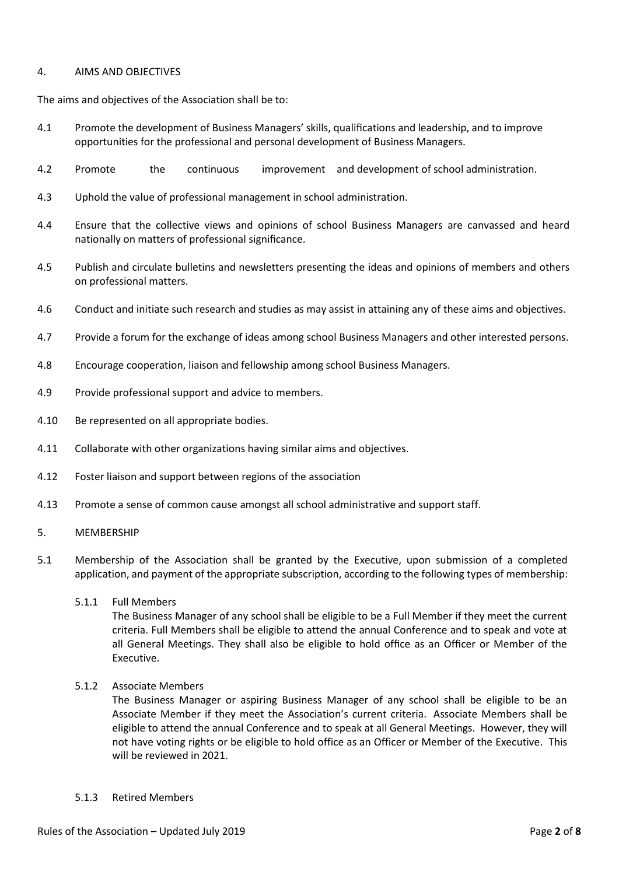### 4. AIMS AND OBJECTIVES

The aims and objectives of the Association shall be to:

- 4.1 Promote the development of Business Managers' skills, qualifications and leadership, and to improve opportunities for the professional and personal development of Business Managers.
- 4.2 Promote the continuous improvement and development of school administration.
- 4.3 Uphold the value of professional management in school administration.
- 4.4 Ensure that the collective views and opinions of school Business Managers are canvassed and heard nationally on matters of professional significance.
- 4.5 Publish and circulate bulletins and newsletters presenting the ideas and opinions of members and others on professional matters.
- 4.6 Conduct and initiate such research and studies as may assist in attaining any of these aims and objectives.
- 4.7 Provide a forum for the exchange of ideas among school Business Managers and other interested persons.
- 4.8 Encourage cooperation, liaison and fellowship among school Business Managers.
- 4.9 Provide professional support and advice to members.
- 4.10 Be represented on all appropriate bodies.
- 4.11 Collaborate with other organizations having similar aims and objectives.
- 4.12 Foster liaison and support between regions of the association
- 4.13 Promote a sense of common cause amongst all school administrative and support staff.
- 5. MEMBERSHIP
- 5.1 Membership of the Association shall be granted by the Executive, upon submission of a completed application, and payment of the appropriate subscription, according to the following types of membership:
	- 5.1.1 Full Members

The Business Manager of any school shall be eligible to be a Full Member if they meet the current criteria. Full Members shall be eligible to attend the annual Conference and to speak and vote at all General Meetings. They shall also be eligible to hold office as an Officer or Member of the Executive.

5.1.2 Associate Members

The Business Manager or aspiring Business Manager of any school shall be eligible to be an Associate Member if they meet the Association's current criteria. Associate Members shall be eligible to attend the annual Conference and to speak at all General Meetings. However, they will not have voting rights or be eligible to hold office as an Officer or Member of the Executive. This will be reviewed in 2021.

5.1.3 Retired Members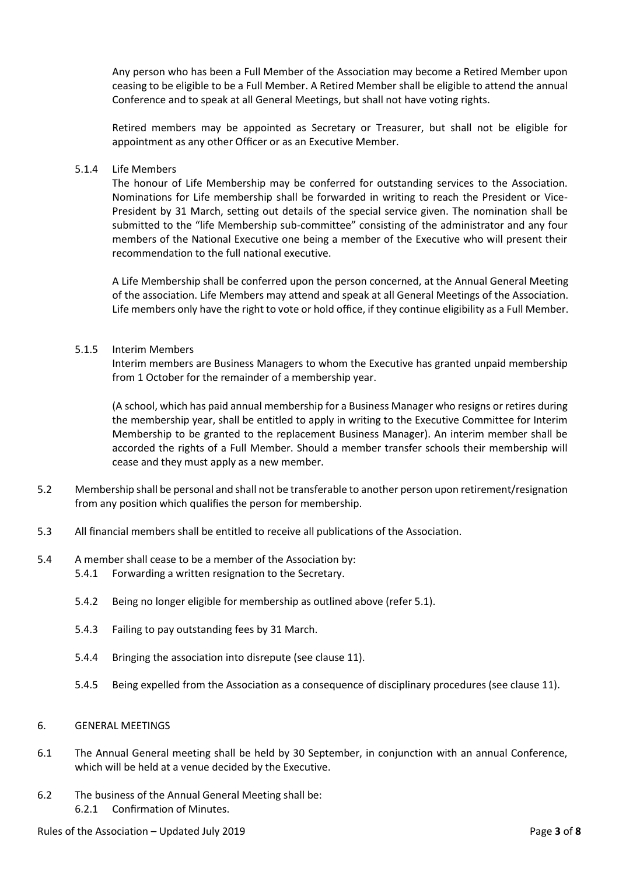Any person who has been a Full Member of the Association may become a Retired Member upon ceasing to be eligible to be a Full Member. A Retired Member shall be eligible to attend the annual Conference and to speak at all General Meetings, but shall not have voting rights.

Retired members may be appointed as Secretary or Treasurer, but shall not be eligible for appointment as any other Officer or as an Executive Member.

#### 5.1.4 Life Members

The honour of Life Membership may be conferred for outstanding services to the Association. Nominations for Life membership shall be forwarded in writing to reach the President or Vice-President by 31 March, setting out details of the special service given. The nomination shall be submitted to the "life Membership sub-committee" consisting of the administrator and any four members of the National Executive one being a member of the Executive who will present their recommendation to the full national executive.

A Life Membership shall be conferred upon the person concerned, at the Annual General Meeting of the association. Life Members may attend and speak at all General Meetings of the Association. Life members only have the right to vote or hold office, if they continue eligibility as a Full Member.

# 5.1.5 Interim Members

Interim members are Business Managers to whom the Executive has granted unpaid membership from 1 October for the remainder of a membership year.

(A school, which has paid annual membership for a Business Manager who resigns or retires during the membership year, shall be entitled to apply in writing to the Executive Committee for Interim Membership to be granted to the replacement Business Manager). An interim member shall be accorded the rights of a Full Member. Should a member transfer schools their membership will cease and they must apply as a new member.

- 5.2 Membership shall be personal and shall not be transferable to another person upon retirement/resignation from any position which qualifies the person for membership.
- 5.3 All financial members shall be entitled to receive all publications of the Association.
- 5.4 A member shall cease to be a member of the Association by:
	- 5.4.1 Forwarding a written resignation to the Secretary.
	- 5.4.2 Being no longer eligible for membership as outlined above (refer 5.1).
	- 5.4.3 Failing to pay outstanding fees by 31 March.
	- 5.4.4 Bringing the association into disrepute (see clause 11).
	- 5.4.5 Being expelled from the Association as a consequence of disciplinary procedures (see clause 11).

# 6. GENERAL MEETINGS

- 6.1 The Annual General meeting shall be held by 30 September, in conjunction with an annual Conference, which will be held at a venue decided by the Executive.
- 6.2 The business of the Annual General Meeting shall be: 6.2.1 Confirmation of Minutes.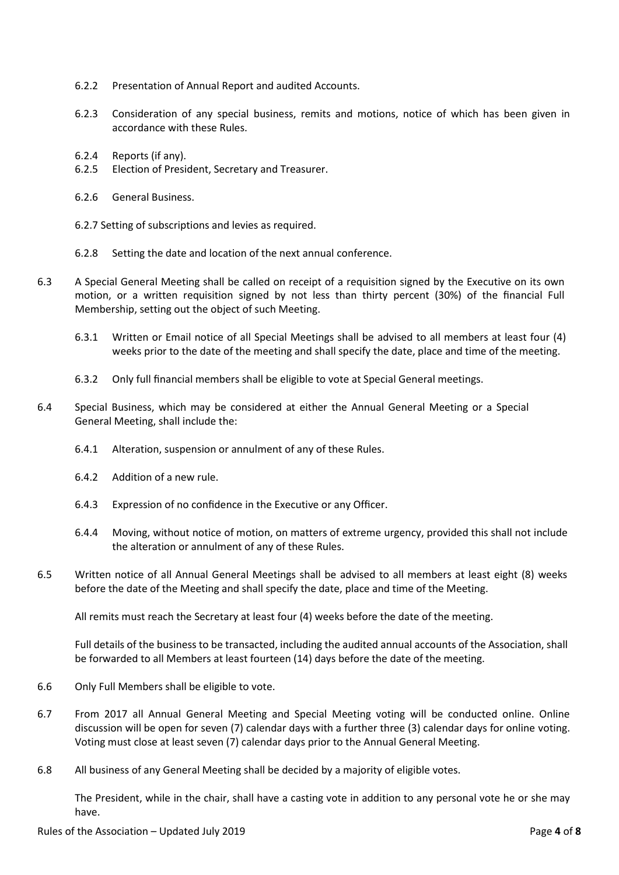- 6.2.2 Presentation of Annual Report and audited Accounts.
- 6.2.3 Consideration of any special business, remits and motions, notice of which has been given in accordance with these Rules.
- 6.2.4 Reports (if any).
- 6.2.5 Election of President, Secretary and Treasurer.
- 6.2.6 General Business.
- 6.2.7 Setting of subscriptions and levies as required.
- 6.2.8 Setting the date and location of the next annual conference.
- 6.3 A Special General Meeting shall be called on receipt of a requisition signed by the Executive on its own motion, or a written requisition signed by not less than thirty percent (30%) of the financial Full Membership, setting out the object of such Meeting.
	- 6.3.1 Written or Email notice of all Special Meetings shall be advised to all members at least four (4) weeks prior to the date of the meeting and shall specify the date, place and time of the meeting.
	- 6.3.2 Only full financial members shall be eligible to vote at Special General meetings.
- 6.4 Special Business, which may be considered at either the Annual General Meeting or a Special General Meeting, shall include the:
	- 6.4.1 Alteration, suspension or annulment of any of these Rules.
	- 6.4.2 Addition of a new rule.
	- 6.4.3 Expression of no confidence in the Executive or any Officer.
	- 6.4.4 Moving, without notice of motion, on matters of extreme urgency, provided this shall not include the alteration or annulment of any of these Rules.
- 6.5 Written notice of all Annual General Meetings shall be advised to all members at least eight (8) weeks before the date of the Meeting and shall specify the date, place and time of the Meeting.

All remits must reach the Secretary at least four (4) weeks before the date of the meeting.

Full details of the business to be transacted, including the audited annual accounts of the Association, shall be forwarded to all Members at least fourteen (14) days before the date of the meeting.

- 6.6 Only Full Members shall be eligible to vote.
- 6.7 From 2017 all Annual General Meeting and Special Meeting voting will be conducted online. Online discussion will be open for seven (7) calendar days with a further three (3) calendar days for online voting. Voting must close at least seven (7) calendar days prior to the Annual General Meeting.
- 6.8 All business of any General Meeting shall be decided by a majority of eligible votes.

The President, while in the chair, shall have a casting vote in addition to any personal vote he or she may have.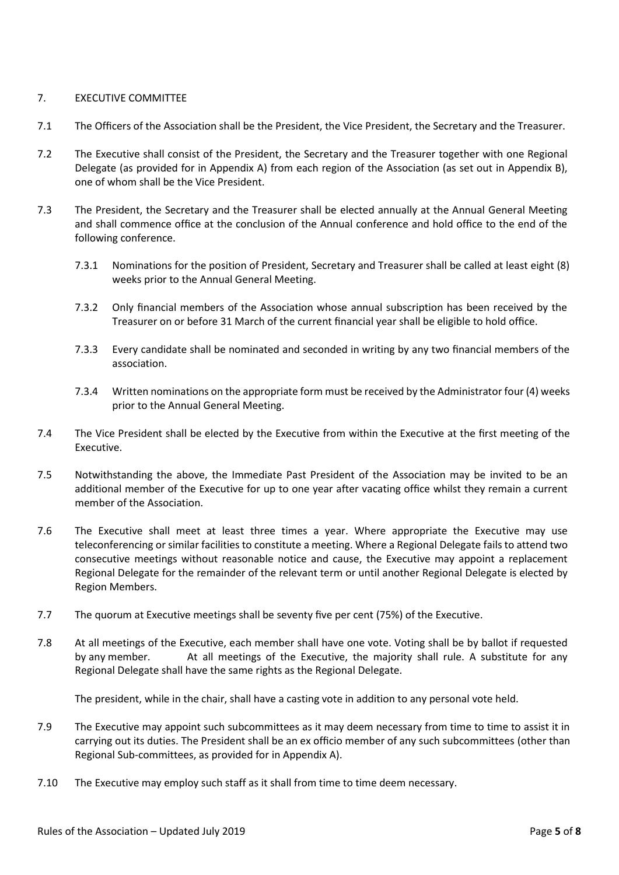# 7. EXECUTIVE COMMITTEE

- 7.1 The Officers of the Association shall be the President, the Vice President, the Secretary and the Treasurer.
- 7.2 The Executive shall consist of the President, the Secretary and the Treasurer together with one Regional Delegate (as provided for in Appendix A) from each region of the Association (as set out in Appendix B), one of whom shall be the Vice President.
- 7.3 The President, the Secretary and the Treasurer shall be elected annually at the Annual General Meeting and shall commence office at the conclusion of the Annual conference and hold office to the end of the following conference.
	- 7.3.1 Nominations for the position of President, Secretary and Treasurer shall be called at least eight (8) weeks prior to the Annual General Meeting.
	- 7.3.2 Only financial members of the Association whose annual subscription has been received by the Treasurer on or before 31 March of the current financial year shall be eligible to hold office.
	- 7.3.3 Every candidate shall be nominated and seconded in writing by any two financial members of the association.
	- 7.3.4 Written nominations on the appropriate form must be received by the Administrator four (4) weeks prior to the Annual General Meeting.
- 7.4 The Vice President shall be elected by the Executive from within the Executive at the first meeting of the Executive.
- 7.5 Notwithstanding the above, the Immediate Past President of the Association may be invited to be an additional member of the Executive for up to one year after vacating office whilst they remain a current member of the Association.
- 7.6 The Executive shall meet at least three times a year. Where appropriate the Executive may use teleconferencing or similar facilities to constitute a meeting. Where a Regional Delegate fails to attend two consecutive meetings without reasonable notice and cause, the Executive may appoint a replacement Regional Delegate for the remainder of the relevant term or until another Regional Delegate is elected by Region Members.
- 7.7 The quorum at Executive meetings shall be seventy five per cent (75%) of the Executive.
- 7.8 At all meetings of the Executive, each member shall have one vote. Voting shall be by ballot if requested by any member. At all meetings of the Executive, the majority shall rule. A substitute for any Regional Delegate shall have the same rights as the Regional Delegate.

The president, while in the chair, shall have a casting vote in addition to any personal vote held.

- 7.9 The Executive may appoint such subcommittees as it may deem necessary from time to time to assist it in carrying out its duties. The President shall be an ex officio member of any such subcommittees (other than Regional Sub-committees, as provided for in Appendix A).
- 7.10 The Executive may employ such staff as it shall from time to time deem necessary.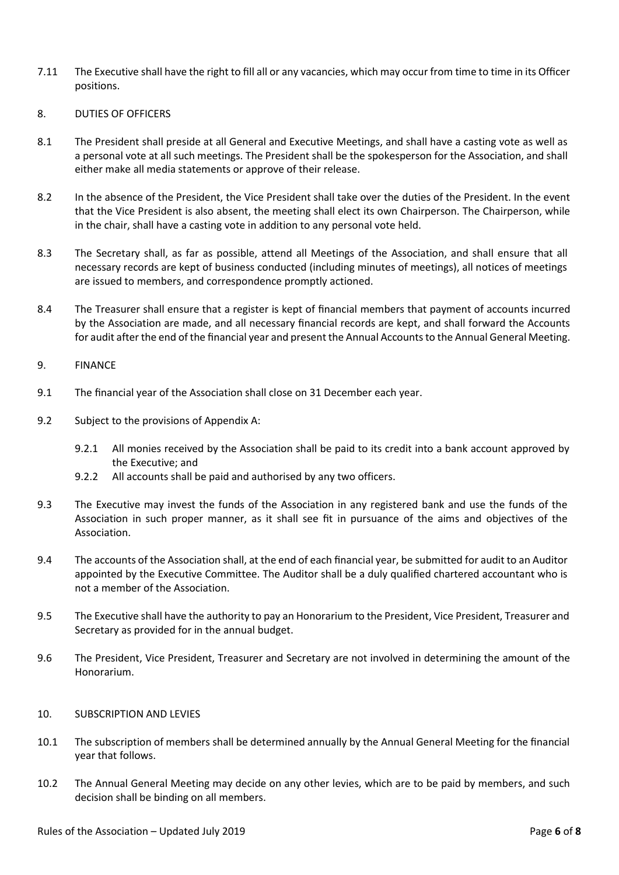- 7.11 The Executive shall have the right to fill all or any vacancies, which may occur from time to time in its Officer positions.
- 8. DUTIES OF OFFICERS
- 8.1 The President shall preside at all General and Executive Meetings, and shall have a casting vote as well as a personal vote at all such meetings. The President shall be the spokesperson for the Association, and shall either make all media statements or approve of their release.
- 8.2 In the absence of the President, the Vice President shall take over the duties of the President. In the event that the Vice President is also absent, the meeting shall elect its own Chairperson. The Chairperson, while in the chair, shall have a casting vote in addition to any personal vote held.
- 8.3 The Secretary shall, as far as possible, attend all Meetings of the Association, and shall ensure that all necessary records are kept of business conducted (including minutes of meetings), all notices of meetings are issued to members, and correspondence promptly actioned.
- 8.4 The Treasurer shall ensure that a register is kept of financial members that payment of accounts incurred by the Association are made, and all necessary financial records are kept, and shall forward the Accounts for audit after the end of the financial year and present the Annual Accounts to the Annual General Meeting.
- 9. FINANCE
- 9.1 The financial year of the Association shall close on 31 December each year.
- 9.2 Subject to the provisions of Appendix A:
	- 9.2.1 All monies received by the Association shall be paid to its credit into a bank account approved by the Executive; and
	- 9.2.2 All accounts shall be paid and authorised by any two officers.
- 9.3 The Executive may invest the funds of the Association in any registered bank and use the funds of the Association in such proper manner, as it shall see fit in pursuance of the aims and objectives of the Association.
- 9.4 The accounts of the Association shall, at the end of each financial year, be submitted for audit to an Auditor appointed by the Executive Committee. The Auditor shall be a duly qualified chartered accountant who is not a member of the Association.
- 9.5 The Executive shall have the authority to pay an Honorarium to the President, Vice President, Treasurer and Secretary as provided for in the annual budget.
- 9.6 The President, Vice President, Treasurer and Secretary are not involved in determining the amount of the Honorarium.
- 10. SUBSCRIPTION AND LEVIES
- 10.1 The subscription of members shall be determined annually by the Annual General Meeting for the financial year that follows.
- 10.2 The Annual General Meeting may decide on any other levies, which are to be paid by members, and such decision shall be binding on all members.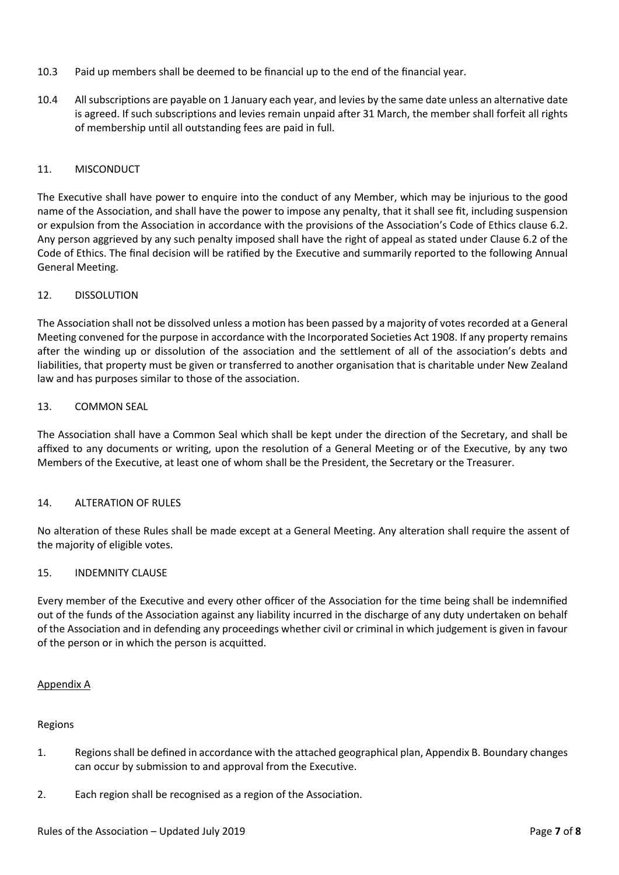- 10.3 Paid up members shall be deemed to be financial up to the end of the financial year.
- 10.4 All subscriptions are payable on 1 January each year, and levies by the same date unless an alternative date is agreed. If such subscriptions and levies remain unpaid after 31 March, the member shall forfeit all rights of membership until all outstanding fees are paid in full.

# 11. MISCONDUCT

The Executive shall have power to enquire into the conduct of any Member, which may be injurious to the good name of the Association, and shall have the power to impose any penalty, that it shall see fit, including suspension or expulsion from the Association in accordance with the provisions of the Association's Code of Ethics clause 6.2. Any person aggrieved by any such penalty imposed shall have the right of appeal as stated under Clause 6.2 of the Code of Ethics. The final decision will be ratified by the Executive and summarily reported to the following Annual General Meeting.

# 12. DISSOLUTION

The Association shall not be dissolved unless a motion has been passed by a majority of votes recorded at a General Meeting convened for the purpose in accordance with the Incorporated Societies Act 1908. If any property remains after the winding up or dissolution of the association and the settlement of all of the association's debts and liabilities, that property must be given or transferred to another organisation that is charitable under New Zealand law and has purposes similar to those of the association.

# 13. COMMON SEAL

The Association shall have a Common Seal which shall be kept under the direction of the Secretary, and shall be affixed to any documents or writing, upon the resolution of a General Meeting or of the Executive, by any two Members of the Executive, at least one of whom shall be the President, the Secretary or the Treasurer.

# 14. ALTERATION OF RULES

No alteration of these Rules shall be made except at a General Meeting. Any alteration shall require the assent of the majority of eligible votes.

# 15. INDEMNITY CLAUSE

Every member of the Executive and every other officer of the Association for the time being shall be indemnified out of the funds of the Association against any liability incurred in the discharge of any duty undertaken on behalf of the Association and in defending any proceedings whether civil or criminal in which judgement is given in favour of the person or in which the person is acquitted.

# Appendix A

# Regions

- 1. Regions shall be defined in accordance with the attached geographical plan, Appendix B. Boundary changes can occur by submission to and approval from the Executive.
- 2. Each region shall be recognised as a region of the Association.